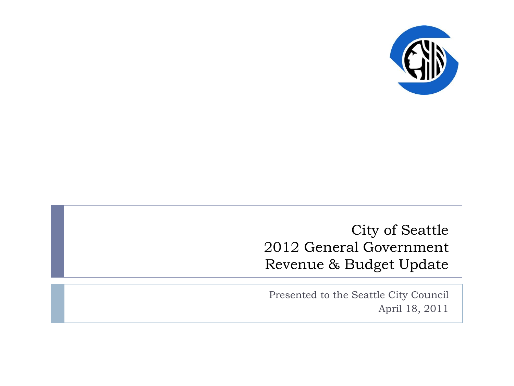

City of Seattle 2012 General Government Revenue & Budget Update

Presented to the Seattle City Council April 18, 2011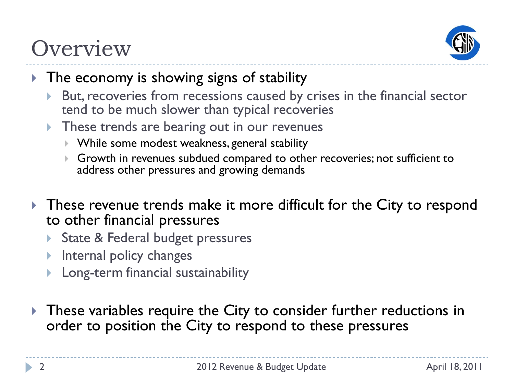### **Overview**



- ▶ The economy is showing signs of stability
	- But, recoveries from recessions caused by crises in the financial sector tend to be much slower than typical recoveries
	- These trends are bearing out in our revenues
		- While some modest weakness, general stability
		- Growth in revenues subdued compared to other recoveries; not sufficient to address other pressures and growing demands
- These revenue trends make it more difficult for the City to respond to other financial pressures
	- State & Federal budget pressures
	- **Internal policy changes**
	- Long-term financial sustainability
- **These variables require the City to consider further reductions in** order to position the City to respond to these pressures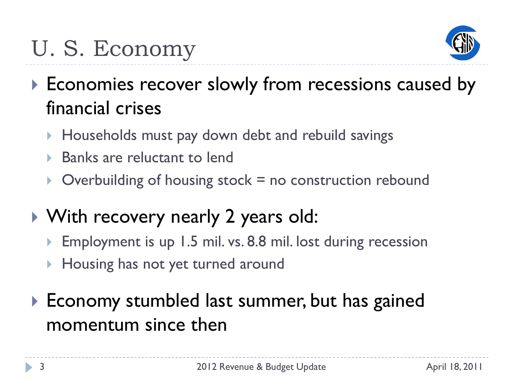# U. S. Economy



- Economies recover slowly from recessions caused by financial crises
	- ▶ Households must pay down debt and rebuild savings
	- ▶ Banks are reluctant to lend
	- $\triangleright$  Overbuilding of housing stock = no construction rebound
- With recovery nearly 2 years old:
	- Employment is up 1.5 mil. vs. 8.8 mil. lost during recession
	- ▶ Housing has not yet turned around
- ▶ Economy stumbled last summer, but has gained momentum since then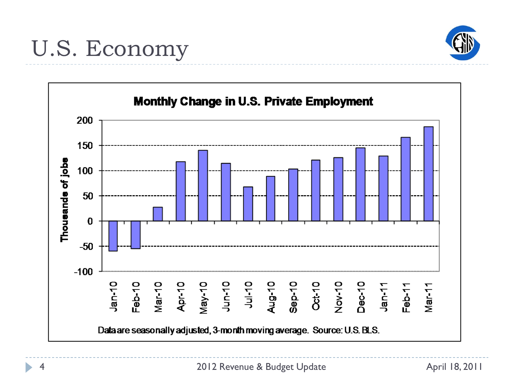

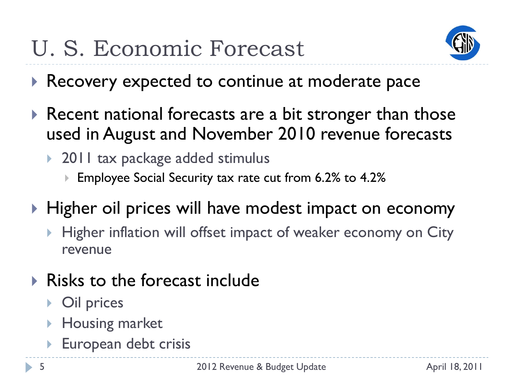# U. S. Economic Forecast



- Recovery expected to continue at moderate pace
- Recent national forecasts are a bit stronger than those used in August and November 2010 revenue forecasts
	- ▶ 2011 tax package added stimulus
		- Employee Social Security tax rate cut from 6.2% to 4.2%
- ▶ Higher oil prices will have modest impact on economy
	- Higher inflation will offset impact of weaker economy on City revenue
- $\triangleright$  Risks to the forecast include
	- Oil prices
	- **Housing market**
	- European debt crisis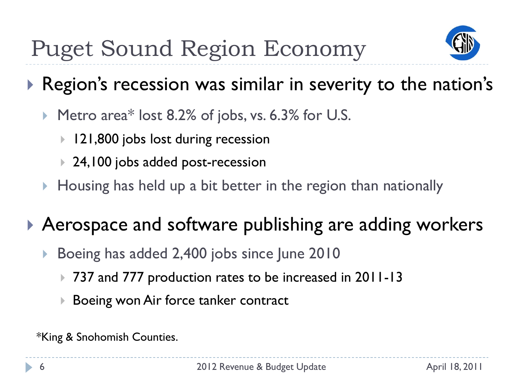

### Region's recession was similar in severity to the nation's

- Metro area\* lost 8.2% of jobs, vs. 6.3% for U.S.
	- 121,800 jobs lost during recession
	- ▶ 24,100 jobs added post-recession
- $\blacktriangleright$  Housing has held up a bit better in the region than nationally

### ▶ Aerospace and software publishing are adding workers

- ▶ Boeing has added 2,400 jobs since June 2010
	- 737 and 777 production rates to be increased in 2011-13
	- ▶ Boeing won Air force tanker contract

\*King & Snohomish Counties.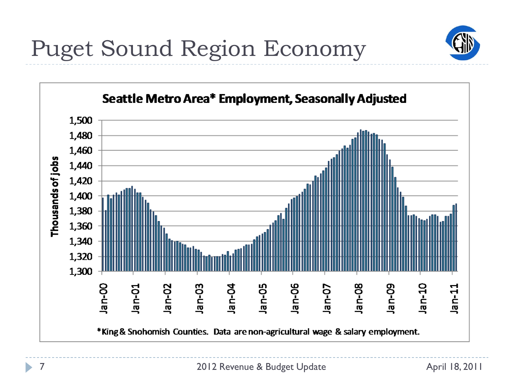

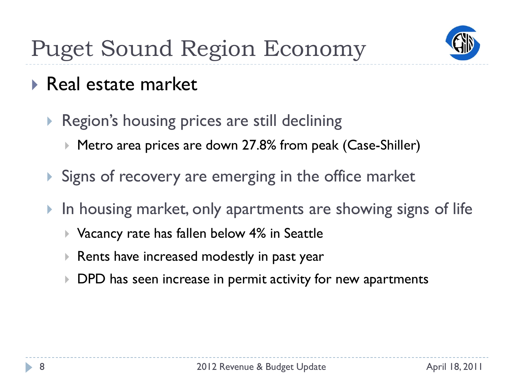

- ▶ Real estate market
	- ▶ Region's housing prices are still declining
		- ▶ Metro area prices are down 27.8% from peak (Case-Shiller)
	- Signs of recovery are emerging in the office market
	- In housing market, only apartments are showing signs of life
		- ▶ Vacancy rate has fallen below 4% in Seattle
		- Rents have increased modestly in past year
		- **DPD** has seen increase in permit activity for new apartments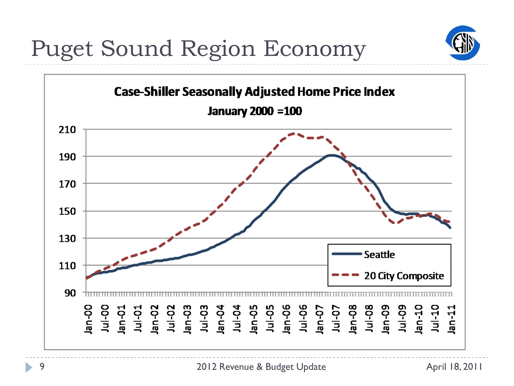Puget Sound Region Economy

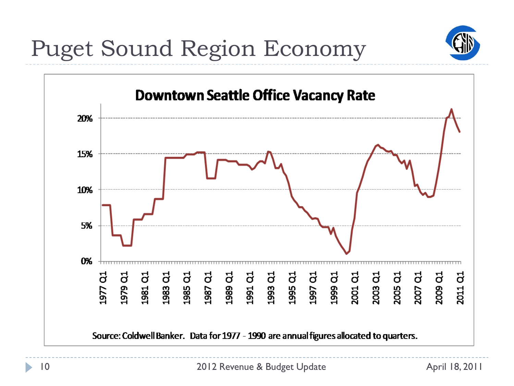

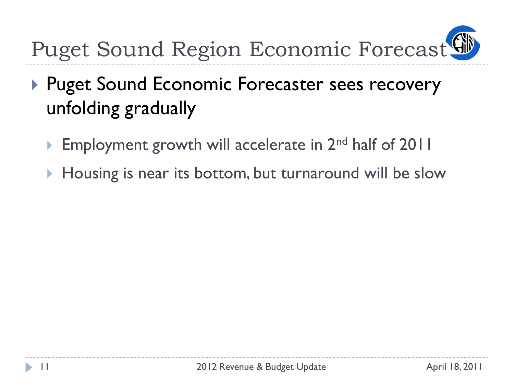

- ▶ Puget Sound Economic Forecaster sees recovery unfolding gradually
	- Employment growth will accelerate in 2<sup>nd</sup> half of 2011
	- Housing is near its bottom, but turnaround will be slow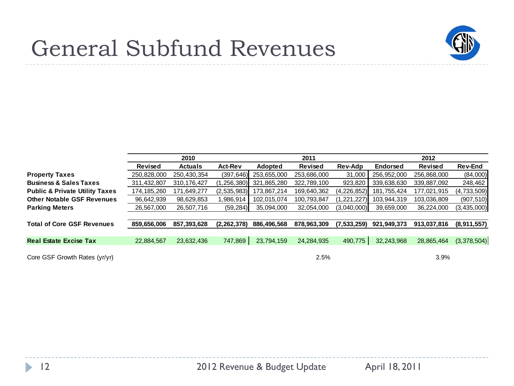

### General Subfund Revenues

|                                           | 2010          |                |                | 2011        |             |             | 2012            |                |                |
|-------------------------------------------|---------------|----------------|----------------|-------------|-------------|-------------|-----------------|----------------|----------------|
|                                           | Revised       | <b>Actuals</b> | <b>Act-Rev</b> | Adopted     | Revised     | Rev-Adp     | <b>Endorsed</b> | <b>Revised</b> | <b>Rev-End</b> |
| <b>Property Taxes</b>                     | 250,828,000   | 250,430,354    | (397, 646)     | 253,655,000 | 253,686,000 | 31,000      | 256,952,000     | 256,868,000    | (84,000)       |
| <b>Business &amp; Sales Taxes</b>         | 311,432,807   | 310, 176, 427  | (1, 256, 380)  | 321,865,280 | 322,789,100 | 923,820     | 339,638,630     | 339,887,092    | 248,462        |
| <b>Public &amp; Private Utility Taxes</b> | 174, 185, 260 | 171,649,277    | (2, 535, 983)  | 173,867,214 | 169,640,362 | (4,226,852) | 181,755,424     | 177,021,915    | (4,733,509)    |
| <b>Other Notable GSF Revenues</b>         | 96,642,939    | 98,629,853     | .986,914       | 102,015,074 | 100,793,847 | 1,221,227)  | 103,944,319     | 103,036,809    | (907, 510)     |
| <b>Parking Meters</b>                     | 26,567,000    | 26,507,716     | (59, 284)      | 35,094,000  | 32,054,000  | (3,040,000) | 39,659,000      | 36,224,000     | (3, 435, 000)  |
|                                           |               |                |                |             |             |             |                 |                |                |
| <b>Total of Core GSF Revenues</b>         | 859,656,006   | 857,393,628    | (2, 262, 378)  | 886,496,568 | 878,963,309 | (7,533,259) | 921,949,373     | 913,037,816    | (8,911,557)    |
|                                           |               |                |                |             |             |             |                 |                |                |
| <b>Real Estate Excise Tax</b>             | 22,884,567    | 23,632,436     | 747,869        | 23,794,159  | 24,284,935  | 490,775     | 32,243,968      | 28,865,464     | (3,378,504)    |
|                                           |               |                |                |             |             |             |                 |                |                |
| Core GSF Growth Rates (yr/yr)             |               |                |                |             | 2.5%        |             |                 | 3.9%           |                |

ь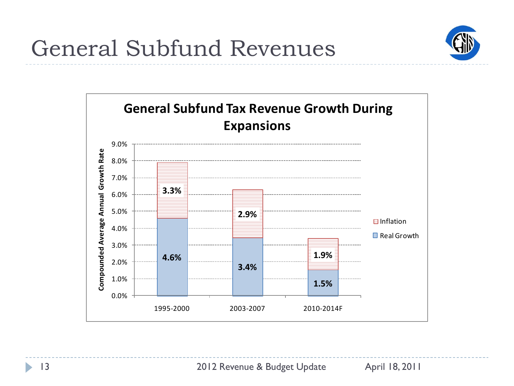

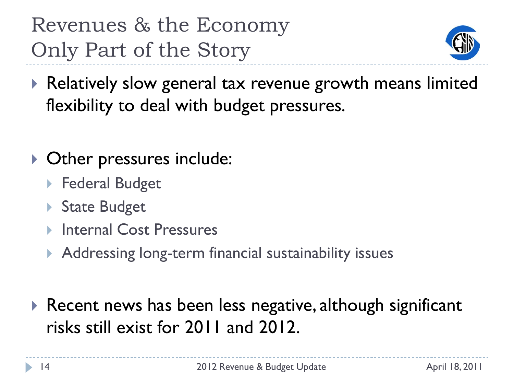### Revenues & the Economy Only Part of the Story



- ▶ Relatively slow general tax revenue growth means limited flexibility to deal with budget pressures.
- ▶ Other pressures include:
	- ▶ Federal Budget
	- ▶ State Budget
	- **▶ Internal Cost Pressures**
	- ▶ Addressing long-term financial sustainability issues
- ▶ Recent news has been less negative, although significant risks still exist for 2011 and 2012.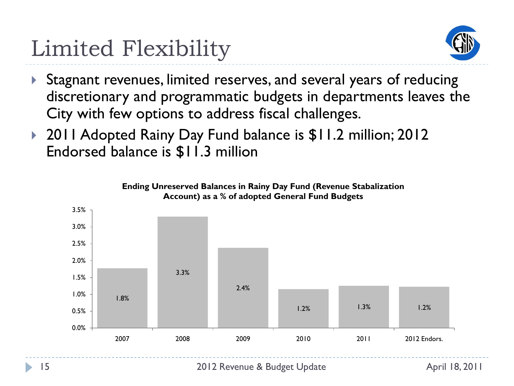# Limited Flexibility



- ▶ Stagnant revenues, limited reserves, and several years of reducing discretionary and programmatic budgets in departments leaves the City with few options to address fiscal challenges.
- ▶ 2011 Adopted Rainy Day Fund balance is \$11.2 million; 2012 Endorsed balance is \$11.3 million

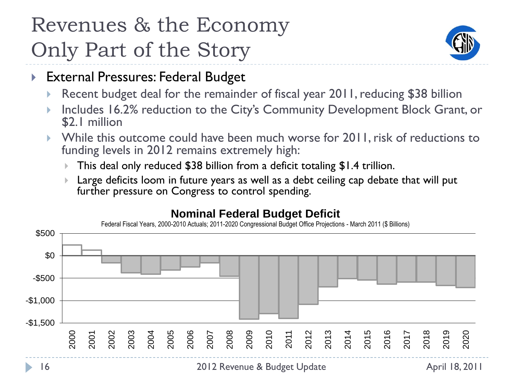### Revenues & the Economy Only Part of the Story



- External Pressures: Federal Budget
	- Recent budget deal for the remainder of fiscal year 2011, reducing \$38 billion
	- Includes 16.2% reduction to the City's Community Development Block Grant, or \$2.1 million
	- While this outcome could have been much worse for 2011, risk of reductions to funding levels in 2012 remains extremely high:
		- This deal only reduced \$38 billion from a deficit totaling \$1.4 trillion.
		- Large deficits loom in future years as well as a debt ceiling cap debate that will put further pressure on Congress to control spending.

#### **Nominal Federal Budget Deficit**

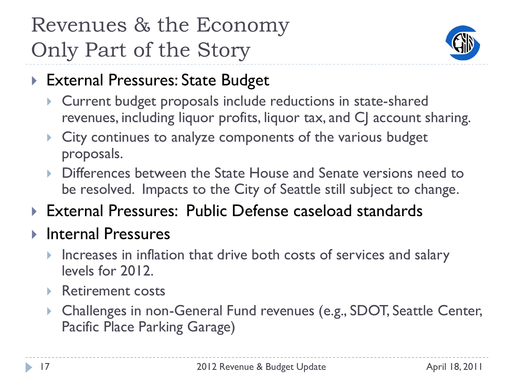## Revenues & the Economy Only Part of the Story



- External Pressures: State Budget
	- Current budget proposals include reductions in state-shared revenues, including liquor profits, liquor tax, and CJ account sharing.
	- **City continues to analyze components of the various budget** proposals.
	- ▶ Differences between the State House and Senate versions need to be resolved. Impacts to the City of Seattle still subject to change.
- External Pressures: Public Defense caseload standards
- ▶ Internal Pressures
	- Increases in inflation that drive both costs of services and salary levels for 2012.
	- ▶ Retirement costs
	- Challenges in non-General Fund revenues (e.g., SDOT, Seattle Center, Pacific Place Parking Garage)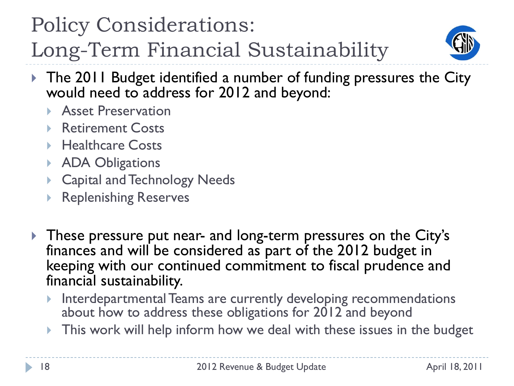### Policy Considerations:

Long-Term Financial Sustainability



- ▶ The 2011 Budget identified a number of funding pressures the City would need to address for 2012 and beyond:
	- **Asset Preservation**
	- **Retirement Costs**
	- ▶ Healthcare Costs
	- **ADA Obligations**
	- ▶ Capital and Technology Needs
	- Replenishing Reserves
- These pressure put near- and long-term pressures on the City's finances and will be considered as part of the 2012 budget in keeping with our continued commitment to fiscal prudence and financial sustainability.
	- **Interdepartmental Teams are currently developing recommendations** about how to address these obligations for 2012 and beyond
	- This work will help inform how we deal with these issues in the budget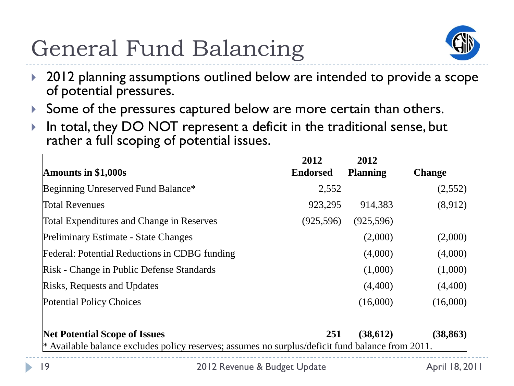# General Fund Balancing



- ▶ 2012 planning assumptions outlined below are intended to provide a scope of potential pressures.
- Some of the pressures captured below are more certain than others.
- In total, they DO NOT represent a deficit in the traditional sense, but rather a full scoping of potential issues.

|                                                                                                    | 2012            | 2012            |               |  |  |  |  |
|----------------------------------------------------------------------------------------------------|-----------------|-----------------|---------------|--|--|--|--|
| Amounts in \$1,000s                                                                                | <b>Endorsed</b> | <b>Planning</b> | <b>Change</b> |  |  |  |  |
| Beginning Unreserved Fund Balance*                                                                 | 2,552           |                 | (2,552)       |  |  |  |  |
| <b>Total Revenues</b>                                                                              | 923,295         | 914,383         | (8,912)       |  |  |  |  |
| <b>Total Expenditures and Change in Reserves</b>                                                   | (925,596)       | (925,596)       |               |  |  |  |  |
| Preliminary Estimate - State Changes                                                               |                 | (2,000)         | (2,000)       |  |  |  |  |
| Federal: Potential Reductions in CDBG funding                                                      |                 | (4,000)         | (4,000)       |  |  |  |  |
| Risk - Change in Public Defense Standards                                                          |                 | (1,000)         | (1,000)       |  |  |  |  |
| Risks, Requests and Updates                                                                        |                 | (4,400)         | (4,400)       |  |  |  |  |
| <b>Potential Policy Choices</b>                                                                    |                 | (16,000)        | (16,000)      |  |  |  |  |
| <b>Net Potential Scope of Issues</b>                                                               | 251             | (38,612)        | (38, 863)     |  |  |  |  |
| $*$ Available balance excludes policy reserves; assumes no surplus/deficit fund balance from 2011. |                 |                 |               |  |  |  |  |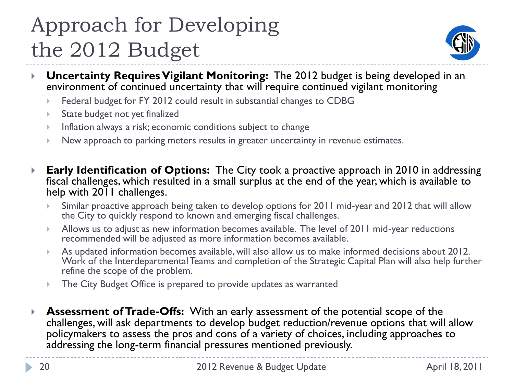## Approach for Developing the 2012 Budget



- **Uncertainty Requires Vigilant Monitoring:** The 2012 budget is being developed in an environment of continued uncertainty that will require continued vigilant monitoring
	- Federal budget for FY 2012 could result in substantial changes to CDBG
	- State budget not yet finalized
	- **Inflation always a risk; economic conditions subject to change**
	- New approach to parking meters results in greater uncertainty in revenue estimates.
- **Early Identification of Options:** The City took a proactive approach in 2010 in addressing fiscal challenges, which resulted in a small surplus at the end of the year, which is available to help with 2011 challenges.
	- Similar proactive approach being taken to develop options for 2011 mid-year and 2012 that will allow the City to quickly respond to known and emerging fiscal challenges.
	- Allows us to adjust as new information becomes available. The level of 2011 mid-year reductions recommended will be adjusted as more information becomes available.
	- As updated information becomes available, will also allow us to make informed decisions about 2012. Work of the Interdepartmental Teams and completion of the Strategic Capital Plan will also help further refine the scope of the problem.
	- The City Budget Office is prepared to provide updates as warranted
- **Assessment of Trade-Offs:** With an early assessment of the potential scope of the challenges, will ask departments to develop budget reduction/revenue options that will allow policymakers to assess the pros and cons of a variety of choices, including approaches to addressing the long-term financial pressures mentioned previously.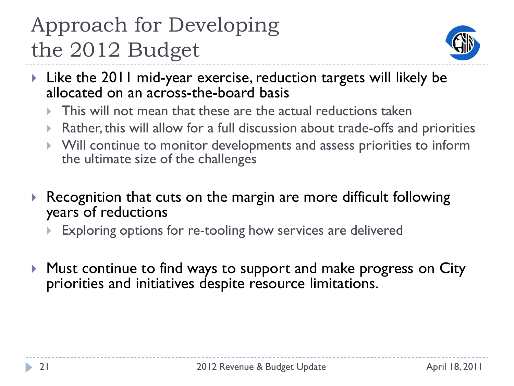## Approach for Developing the 2012 Budget



- Like the 2011 mid-year exercise, reduction targets will likely be allocated on an across-the-board basis
	- $\triangleright$  This will not mean that these are the actual reductions taken
	- Rather, this will allow for a full discussion about trade-offs and priorities
	- Will continue to monitor developments and assess priorities to inform the ultimate size of the challenges
- ▶ Recognition that cuts on the margin are more difficult following years of reductions
	- Exploring options for re-tooling how services are delivered
- **Must continue to find ways to support and make progress on City** priorities and initiatives despite resource limitations.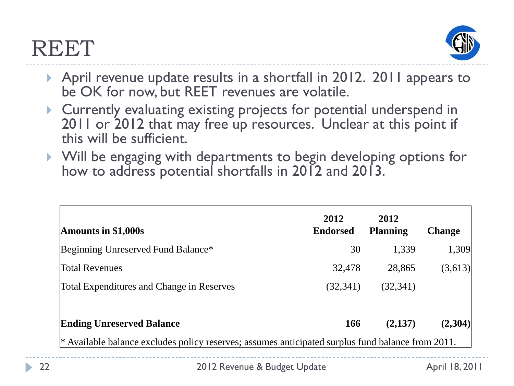### **REET**



- April revenue update results in a shortfall in 2012. 2011 appears to be OK for now, but REET revenues are volatile.
- Currently evaluating existing projects for potential underspend in 2011 or 2012 that may free up resources. Unclear at this point if this will be sufficient.
- Will be engaging with departments to begin developing options for how to address potential shortfalls in 2012 and 2013.

| Amounts in $$1,000s$                                                                                | 2012<br><b>Endorsed</b> | 2012<br><b>Planning</b> | <b>Change</b> |  |  |  |  |
|-----------------------------------------------------------------------------------------------------|-------------------------|-------------------------|---------------|--|--|--|--|
| Beginning Unreserved Fund Balance*                                                                  | 30                      | 1,339                   | 1,309         |  |  |  |  |
| <b>Total Revenues</b>                                                                               | 32,478                  | 28,865                  | (3,613)       |  |  |  |  |
| Total Expenditures and Change in Reserves                                                           | (32, 341)               | (32, 341)               |               |  |  |  |  |
| <b>Ending Unreserved Balance</b>                                                                    | <b>166</b>              | (2,137)                 | (2,304)       |  |  |  |  |
| $*$ Available balance excludes policy reserves; assumes anticipated surplus fund balance from 2011. |                         |                         |               |  |  |  |  |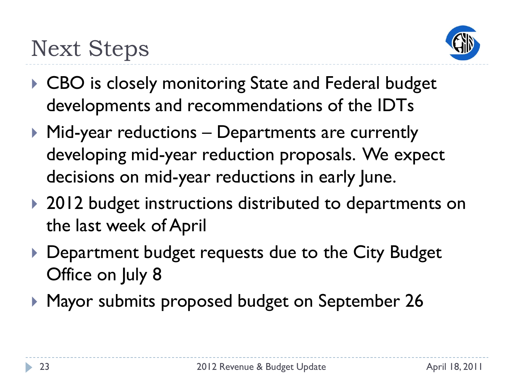

- ▶ CBO is closely monitoring State and Federal budget developments and recommendations of the IDTs
- ▶ Mid-year reductions Departments are currently developing mid-year reduction proposals. We expect decisions on mid-year reductions in early June.
- ▶ 2012 budget instructions distributed to departments on the last week of April
- Department budget requests due to the City Budget Office on July 8
- ▶ Mayor submits proposed budget on September 26